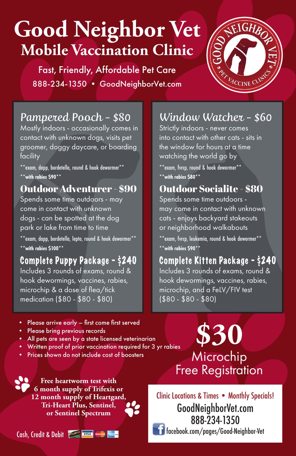# **Good Neighbor Vet Mobile Vaccination Clinic**

Fast, Friendly, Affordable Pet Care 888-234-1350 • GoodNeighborVet.com



#### Pampered Pooch - \$80

Mostly indoors - occasionally comes in contact with unknown dogs, visits pet groomer, doggy daycare, or boarding facility

\*\*exam, dapp, bordetella, round & hook dewormer\*\* **\*\*with rabies \$90\*\***

#### Outdoor Adventurer - \$90

Spends some time outdoors - may come in contact with unknown dogs - can be spotted at the dog park or lake from time to time \*\*exam, dapp, bordetella, lepto, round & hook dewormer\*\* **\*\*with rabies \$100\*\* \*\*with rabies \$90\*\***

#### Complete Puppy Package - \$240

Includes 3 rounds of exams, round & hook dewormings, vaccines, rabies, microchip & a dose of flea/tick medication (\$80 - \$80 - \$80)

- Please arrive early first come first served
- Please bring previous records
- All pets are seen by a state licensed veterinarian
- Written proof of prior vaccination required for 3 yr rabies
- Prices shown do not include cost of boosters

### Window Watcher - \$60

Strictly indoors - never comes into contact with other cats - sits in the window for hours at a time watching the world go by

\*\*exam, fvrcp, round & hook dewormer\*\* **\*\*with rabies \$80\*\***

#### Outdoor Socialite - \$80

Spends some time outdoors may come in contact with unknown cats - enjoys backyard stakeouts or neighborhood walkabouts

\*\*exam, fvrcp, leukemia, round & hook dewormer\*\*

### Complete Kitten Package - \$240

Includes 3 rounds of exams, round & hook dewormings, vaccines, rabies, microchip, and a FeLV/FIV test (\$80 - \$80 - \$80)

### **\$30** Microchip Free Registration

Clinic Locations & Times • Monthly Specials! GoodNeighborVet.com 888-234-1350 facebook.com/pages/Good-Neighbor-Vet

**6 month supply of Trifexis or 12 month supply of Heartgard, Tri-Heart Plus, Sentinel, or Sentinel Spectrum**

**Free heartworm test with** 

Cash, Credit & Debit